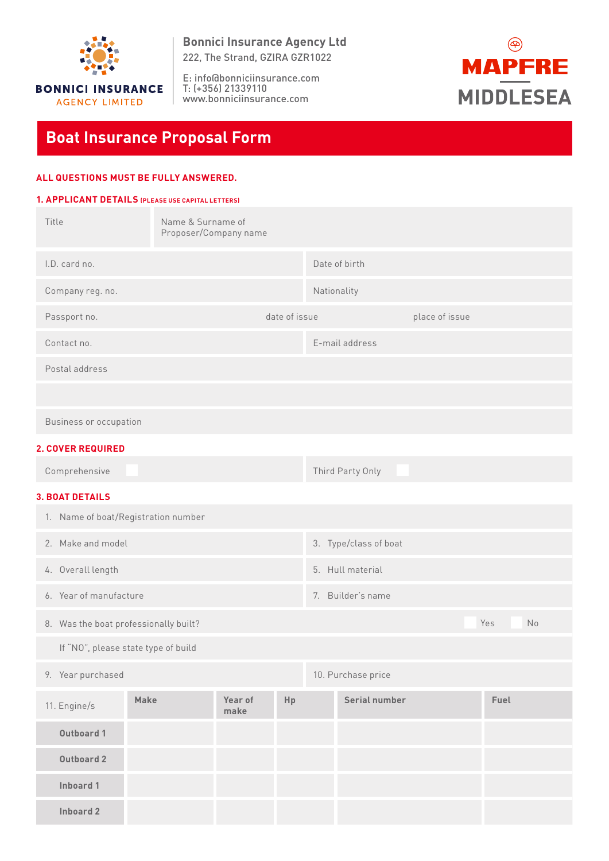

**BONNICI INSURANCE** 

**AGENCY LIMITED** 

E: info@bonniciinsurance.com T: (+356) 21339110 www.bonniciinsurance.com



# **Boat Insurance Proposal Form**

#### **ALL QUESTIONS MUST BE FULLY ANSWERED.**

## **1. APPLICANT DETAILS (PLEASE USE CAPITAL LETTERS)**

| Title                         | Name & Surname of<br>Proposer/Company name |                |                |
|-------------------------------|--------------------------------------------|----------------|----------------|
| I.D. card no.                 |                                            | Date of birth  |                |
| Company reg. no.              |                                            | Nationality    |                |
| Passport no.                  | date of issue                              |                | place of issue |
| Contact no.                   |                                            | E-mail address |                |
| Postal address                |                                            |                |                |
|                               |                                            |                |                |
| <b>Business or occupation</b> |                                            |                |                |
| A AAUFB BEAUDER               |                                            |                |                |

#### **2. COVER REQUIRED**

| Comprehensive                         |                 |    |                       | Third Party Only |                   |             |  |
|---------------------------------------|-----------------|----|-----------------------|------------------|-------------------|-------------|--|
| <b>3. BOAT DETAILS</b>                |                 |    |                       |                  |                   |             |  |
| 1. Name of boat/Registration number   |                 |    |                       |                  |                   |             |  |
| 2. Make and model                     |                 |    | 3. Type/class of boat |                  |                   |             |  |
| 4. Overall length                     |                 |    | 5. Hull material      |                  |                   |             |  |
| 6. Year of manufacture                |                 |    |                       |                  | 7. Builder's name |             |  |
| 8. Was the boat professionally built? |                 |    |                       |                  |                   | Yes<br>No   |  |
| If "NO", please state type of build   |                 |    |                       |                  |                   |             |  |
| 9. Year purchased                     |                 |    | 10. Purchase price    |                  |                   |             |  |
| <b>Make</b><br>11. Engine/s           | Year of<br>make | Hp |                       | Serial number    |                   | <b>Fuel</b> |  |
| Outboard 1                            |                 |    |                       |                  |                   |             |  |
| Outboard 2                            |                 |    |                       |                  |                   |             |  |
| Inboard 1                             |                 |    |                       |                  |                   |             |  |
| Inboard 2                             |                 |    |                       |                  |                   |             |  |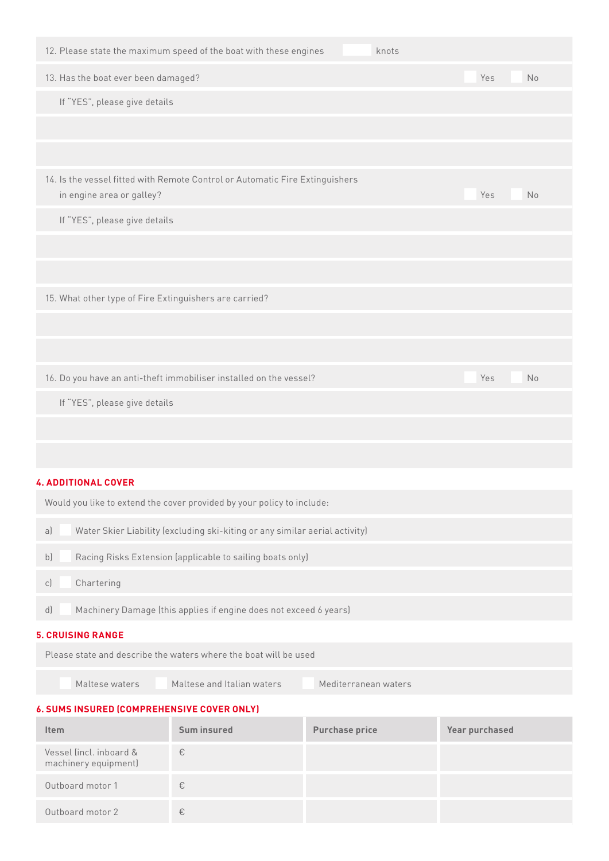| 12. Please state the maximum speed of the boat with these engines<br>knots                                |                  |
|-----------------------------------------------------------------------------------------------------------|------------------|
| 13. Has the boat ever been damaged?                                                                       | Yes<br><b>No</b> |
| If "YES", please give details                                                                             |                  |
|                                                                                                           |                  |
|                                                                                                           |                  |
| 14. Is the vessel fitted with Remote Control or Automatic Fire Extinguishers<br>in engine area or galley? | Yes<br><b>No</b> |
| If "YES", please give details                                                                             |                  |
|                                                                                                           |                  |
|                                                                                                           |                  |
| 15. What other type of Fire Extinguishers are carried?                                                    |                  |
|                                                                                                           |                  |
|                                                                                                           |                  |
| 16. Do you have an anti-theft immobiliser installed on the vessel?                                        | Yes<br><b>No</b> |
| If "YES", please give details                                                                             |                  |
|                                                                                                           |                  |
|                                                                                                           |                  |
| <b>4. ADDITIONAL COVER</b>                                                                                |                  |
| Would you like to extend the cover provided by your policy to include:                                    |                  |
| Water Skier Liability (excluding ski-kiting or any similar aerial activity)<br>a)                         |                  |
| Racing Risks Extension (applicable to sailing boats only)<br>b)                                           |                  |
| Chartering<br>C                                                                                           |                  |
| Machinery Damage (this applies if engine does not exceed 6 years)<br>d                                    |                  |

# **5. CRUISING RANGE**

Please state and describe the waters where the boat will be used

Maltese waters Maltese and Italian waters Mediterranean waters

### **6. SUMS INSURED (COMPREHENSIVE COVER ONLY)**

| Item                                            | Sum insured | <b>Purchase price</b> | <b>Year purchased</b> |
|-------------------------------------------------|-------------|-----------------------|-----------------------|
| Vessel (incl. inboard &<br>machinery equipment) | €           |                       |                       |
| Outboard motor 1                                | €           |                       |                       |
| Outboard motor 2                                | €           |                       |                       |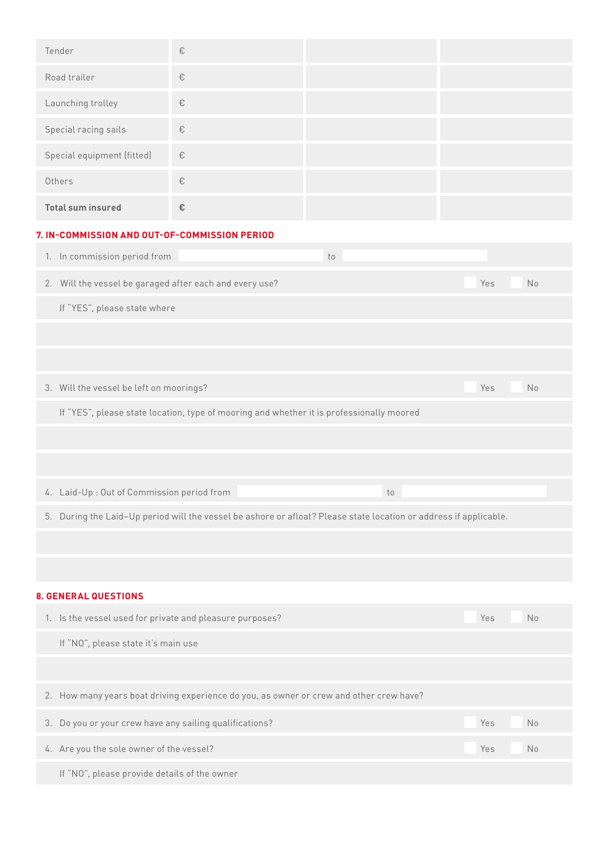| Tender                     | €          |  |
|----------------------------|------------|--|
| Road trailer               | €          |  |
| Launching trolley          | €          |  |
| Special racing sails       | $\in$      |  |
| Special equipment (fitted) | $\epsilon$ |  |
| Others                     | €          |  |
| <b>Total sum insured</b>   | €          |  |

# **7. IN-COMMISSION AND OUT-OF-COMMISSION PERIOD**

| 1. In commission period from                                                                                      | to |     |           |
|-------------------------------------------------------------------------------------------------------------------|----|-----|-----------|
| 2. Will the vessel be garaged after each and every use?                                                           |    | Yes | No        |
| If "YES", please state where                                                                                      |    |     |           |
|                                                                                                                   |    |     |           |
|                                                                                                                   |    |     |           |
| 3. Will the vessel be left on moorings?                                                                           |    | Yes | No        |
| If "YES", please state location, type of mooring and whether it is professionally moored                          |    |     |           |
|                                                                                                                   |    |     |           |
|                                                                                                                   |    |     |           |
| 4. Laid-Up: Out of Commission period from                                                                         | to |     |           |
| 5. During the Laid-Up period will the vessel be ashore or afloat? Please state location or address if applicable. |    |     |           |
|                                                                                                                   |    |     |           |
|                                                                                                                   |    |     |           |
| <b>8. GENERAL QUESTIONS</b>                                                                                       |    |     |           |
| 1. Is the vessel used for private and pleasure purposes?                                                          |    | Yes | No        |
| If "NO", please state it's main use                                                                               |    |     |           |
|                                                                                                                   |    |     |           |
| 2. How many years boat driving experience do you, as owner or crew and other crew have?                           |    |     |           |
| 3. Do you or your crew have any sailing qualifications?                                                           |    | Yes | <b>No</b> |

4. Are you the sole owner of the vessel? A state of the vessel of the vessel of the vessel of the vessel of the vessel of the vessel of the vessel of the vessel of the vessel of the vessel of the vessel of the vessel of th If "NO", please provide details of the owner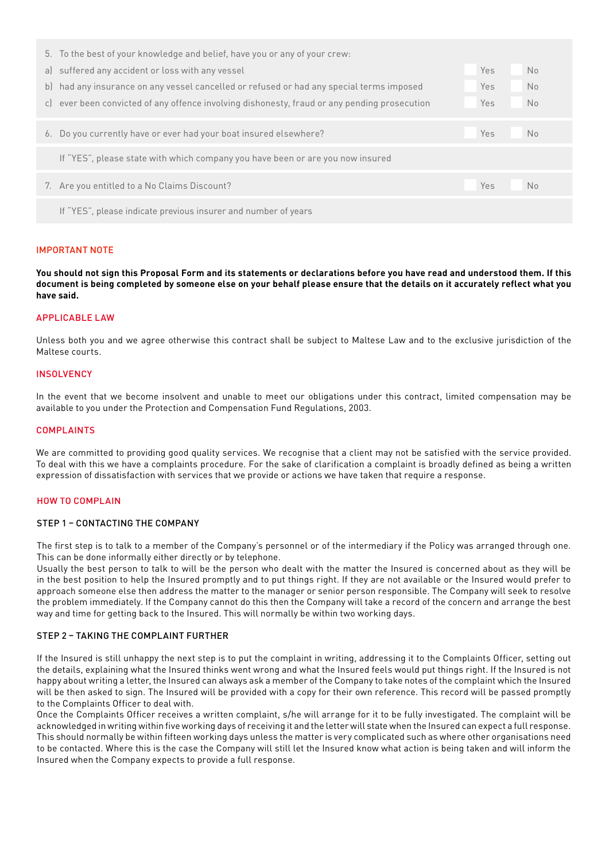|          | 5. To the best of your knowledge and belief, have you or any of your crew:                   |     |           |
|----------|----------------------------------------------------------------------------------------------|-----|-----------|
|          | a) suffered any accident or loss with any vessel                                             | Yes | No        |
| $b\vert$ | had any insurance on any vessel cancelled or refused or had any special terms imposed        | Yes | <b>No</b> |
|          | c) ever been convicted of any offence involving dishonesty, fraud or any pending prosecution | Yes | <b>No</b> |
|          | 6. Do you currently have or ever had your boat insured elsewhere?                            | Yes | No        |
|          | If "YES", please state with which company you have been or are you now insured               |     |           |
|          | 7. Are you entitled to a No Claims Discount?                                                 | Yes | No        |
|          | If "YES", please indicate previous insurer and number of years                               |     |           |

#### IMPORTANT NOTE

**You should not sign this Proposal Form and its statements or declarations before you have read and understood them. If this document is being completed by someone else on your behalf please ensure that the details on it accurately reflect what you have said.**

#### APPLICABLE LAW

Unless both you and we agree otherwise this contract shall be subject to Maltese Law and to the exclusive jurisdiction of the Maltese courts.

#### **INSOLVENCY**

In the event that we become insolvent and unable to meet our obligations under this contract, limited compensation may be available to you under the Protection and Compensation Fund Regulations, 2003.

#### **COMPLAINTS**

We are committed to providing good quality services. We recognise that a client may not be satisfied with the service provided. To deal with this we have a complaints procedure. For the sake of clarification a complaint is broadly defined as being a written expression of dissatisfaction with services that we provide or actions we have taken that require a response.

#### HOW TO COMPLAIN

#### STEP 1 – CONTACTING THE COMPANY

The first step is to talk to a member of the Company's personnel or of the intermediary if the Policy was arranged through one. This can be done informally either directly or by telephone.

Usually the best person to talk to will be the person who dealt with the matter the Insured is concerned about as they will be in the best position to help the Insured promptly and to put things right. If they are not available or the Insured would prefer to approach someone else then address the matter to the manager or senior person responsible. The Company will seek to resolve the problem immediately. If the Company cannot do this then the Company will take a record of the concern and arrange the best way and time for getting back to the Insured. This will normally be within two working days.

#### STEP 2 – TAKING THE COMPLAINT FURTHER

If the Insured is still unhappy the next step is to put the complaint in writing, addressing it to the Complaints Officer, setting out the details, explaining what the Insured thinks went wrong and what the Insured feels would put things right. If the Insured is not happy about writing a letter, the Insured can always ask a member of the Company to take notes of the complaint which the Insured will be then asked to sign. The Insured will be provided with a copy for their own reference. This record will be passed promptly to the Complaints Officer to deal with.

Once the Complaints Officer receives a written complaint, s/he will arrange for it to be fully investigated. The complaint will be acknowledged in writing within five working days of receiving it and the letter will state when the Insured can expect a full response. This should normally be within fifteen working days unless the matter is very complicated such as where other organisations need to be contacted. Where this is the case the Company will still let the Insured know what action is being taken and will inform the Insured when the Company expects to provide a full response.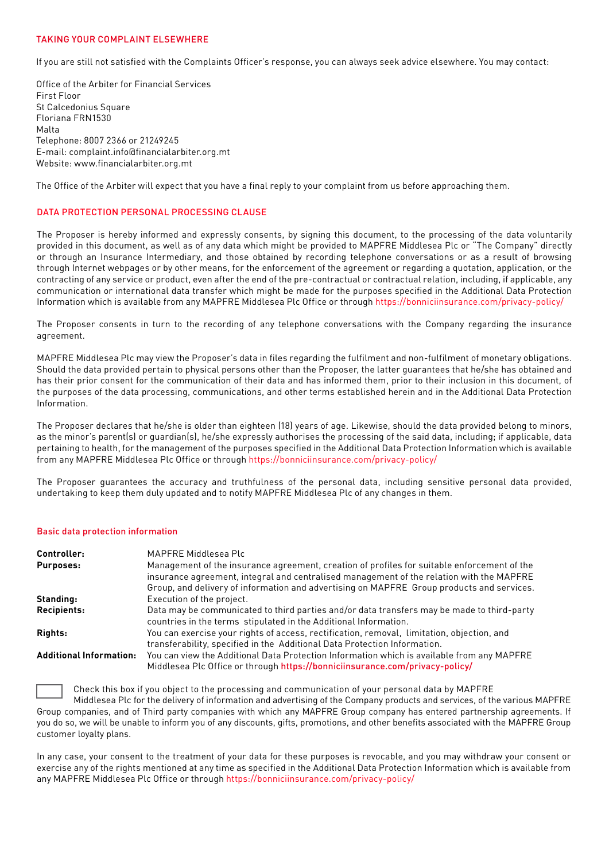#### TAKING YOUR COMPLAINT ELSEWHERE

If you are still not satisfied with the Complaints Officer's response, you can always seek advice elsewhere. You may contact:

Office of the Arbiter for Financial Services First Floor St Calcedonius Square Floriana FRN1530 Malta Telephone: 8007 2366 or 21249245 E-mail: complaint.info@financialarbiter.org.mt Website: www.financialarbiter.org.mt

The Office of the Arbiter will expect that you have a final reply to your complaint from us before approaching them.

#### DATA PROTECTION PERSONAL PROCESSING CLAUSE

The Proposer is hereby informed and expressly consents, by signing this document, to the processing of the data voluntarily provided in this document, as well as of any data which might be provided to MAPFRE Middlesea Plc or "The Company" directly or through an Insurance Intermediary, and those obtained by recording telephone conversations or as a result of browsing through Internet webpages or by other means, for the enforcement of the agreement or regarding a quotation, application, or the contracting of any service or product, even after the end of the pre-contractual or contractual relation, including, if applicable, any communication or international data transfer which might be made for the purposes specified in the Additional Data Protection Information which is available from any MAPFRE Middlesea Plc Office or through https://bonniciinsurance.com/privacy-policy/

The Proposer consents in turn to the recording of any telephone conversations with the Company regarding the insurance agreement.

MAPFRE Middlesea Plc may view the Proposer's data in files regarding the fulfilment and non-fulfilment of monetary obligations. Should the data provided pertain to physical persons other than the Proposer, the latter guarantees that he/she has obtained and has their prior consent for the communication of their data and has informed them, prior to their inclusion in this document, of the purposes of the data processing, communications, and other terms established herein and in the Additional Data Protection Information.

The Proposer declares that he/she is older than eighteen (18) years of age. Likewise, should the data provided belong to minors, as the minor's parent(s) or quardian(s), he/she expressly authorises the processing of the said data, including; if applicable, data pertaining to health, for the management of the purposes specified in the Additional Data Protection Information which is available from any MAPFRE Middlesea Plc Office or through https://bonniciinsurance.com/privacy-policy/

The Proposer guarantees the accuracy and truthfulness of the personal data, including sensitive personal data provided, undertaking to keep them duly updated and to notify MAPFRE Middlesea Plc of any changes in them.

#### Basic data protection information

| Controller:<br>Purposes:       | MAPFRE Middlesea Plc<br>Management of the insurance agreement, creation of profiles for suitable enforcement of the<br>insurance agreement, integral and centralised management of the relation with the MAPFRE<br>Group, and delivery of information and advertising on MAPFRE Group products and services. |
|--------------------------------|--------------------------------------------------------------------------------------------------------------------------------------------------------------------------------------------------------------------------------------------------------------------------------------------------------------|
| Standing:                      | Execution of the project.                                                                                                                                                                                                                                                                                    |
| <b>Recipients:</b>             | Data may be communicated to third parties and/or data transfers may be made to third-party<br>countries in the terms stipulated in the Additional Information.                                                                                                                                               |
| Rights:                        | You can exercise your rights of access, rectification, removal, limitation, objection, and<br>transferability, specified in the Additional Data Protection Information.                                                                                                                                      |
| <b>Additional Information:</b> | You can view the Additional Data Protection Information which is available from any MAPFRE<br>Middlesea Plc Office or through https://bonniciinsurance.com/privacy-policy/                                                                                                                                   |

Check this box if you object to the processing and communication of your personal data by MAPFRE

Middlesea Plc for the delivery of information and advertising of the Company products and services, of the various MAPFRE Group companies, and of Third party companies with which any MAPFRE Group company has entered partnership agreements. If you do so, we will be unable to inform you of any discounts, gifts, promotions, and other benefits associated with the MAPFRE Group customer loyalty plans.

In any case, your consent to the treatment of your data for these purposes is revocable, and you may withdraw your consent or exercise any of the rights mentioned at any time as specified in the Additional Data Protection Information which is available from any MAPFRE Middlesea Plc Office or through https://bonniciinsurance.com/privacy-policy/